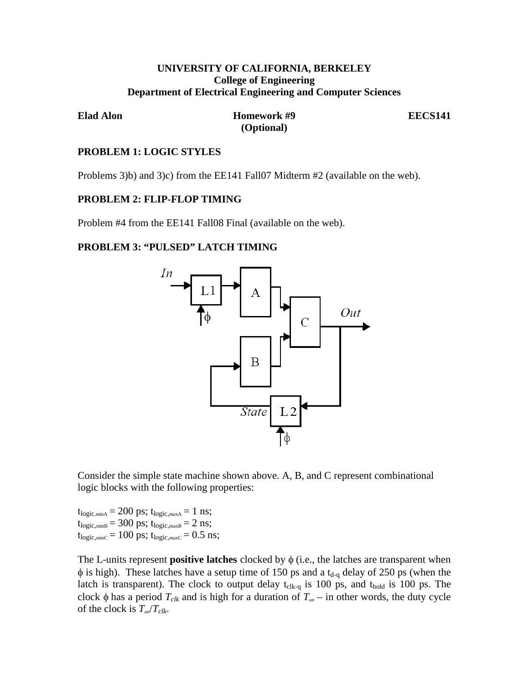# **UNIVERSITY OF CALIFORNIA, BERKELEY College of Engineering Department of Electrical Engineering and Computer Sciences**

**Elad Alon Homework #9 EECS141 (Optional)**

### **PROBLEM 1: LOGIC STYLES**

Problems 3)b) and 3)c) from the EE141 Fall07 Midterm #2 (available on the web).

### **PROBLEM 2: FLIP-FLOP TIMING**

Problem #4 from the EE141 Fall08 Final (available on the web).

# **PROBLEM 3: "PULSED" LATCH TIMING**



Consider the simple state machine shown above. A, B, and C represent combinational logic blocks with the following properties:

 $t_{\text{logic,minA}} = 200 \text{ ps}; t_{\text{logic,maxA}} = 1 \text{ ns};$  $t_{logic, minB} = 300 \text{ ps}; t_{logic, maxB} = 2 \text{ ns};$  $t_{logic, minC} = 100 \text{ ps}; t_{logic, maxC} = 0.5 \text{ ns};$ 

The L-units represent **positive latches** clocked by  $\phi$  (i.e., the latches are transparent when  $\phi$  is high). These latches have a setup time of 150 ps and a t<sub>d-q</sub> delay of 250 ps (when the latch is transparent). The clock to output delay  $t_{\text{clk-q}}$  is 100 ps, and  $t_{\text{hold}}$  is 100 ps. The clock  $\phi$  has a period  $T_{\text{clk}}$  and is high for a duration of  $T_{\text{on}}$  – in other words, the duty cycle of the clock is  $T_{on}/T_{clk}$ .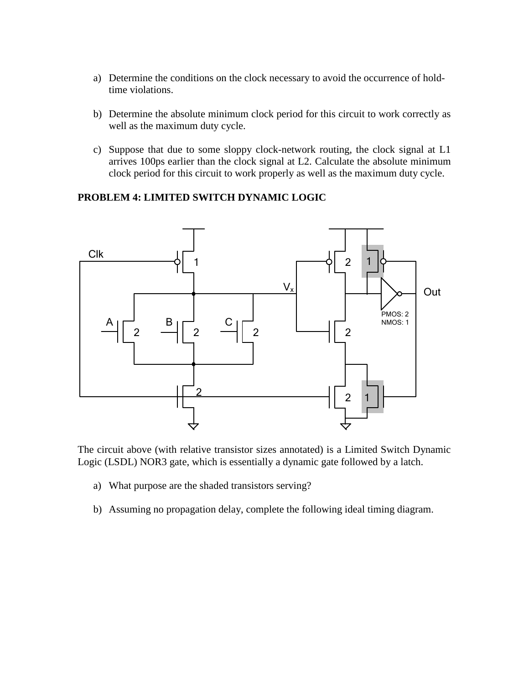- a) Determine the conditions on the clock necessary to avoid the occurrence of holdtime violations.
- b) Determine the absolute minimum clock period for this circuit to work correctly as well as the maximum duty cycle.
- c) Suppose that due to some sloppy clock-network routing, the clock signal at L1 arrives 100ps earlier than the clock signal at L2. Calculate the absolute minimum clock period for this circuit to work properly as well as the maximum duty cycle.

# **PROBLEM 4: LIMITED SWITCH DYNAMIC LOGIC**



The circuit above (with relative transistor sizes annotated) is a Limited Switch Dynamic Logic (LSDL) NOR3 gate, which is essentially a dynamic gate followed by a latch.

- a) What purpose are the shaded transistors serving?
- b) Assuming no propagation delay, complete the following ideal timing diagram.